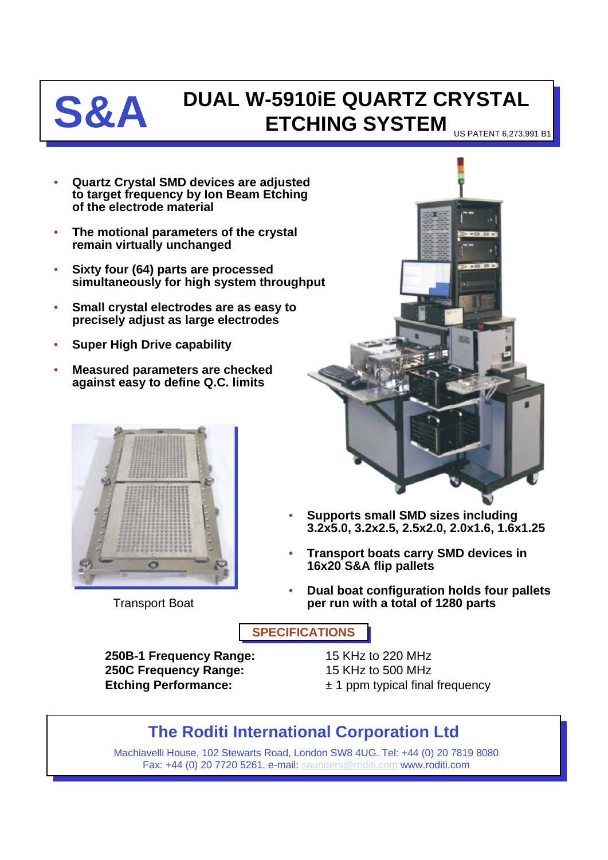

## **S&A DUAL W-5910iE QUARTZ CRYSTAL ETCHING SYSTEM**

US PATENT 6,273,991 B1

- **Quartz Crystal SMD devices are adjusted to target frequency by Ion Beam Etching of the electrode material**
- **The motional parameters of the crystal remain virtually unchanged**
- **Sixty four (64) parts are processed simultaneously for high system throughput**
- **Small crystal electrodes are as easy to precisely adjust as large electrodes**
- **Super High Drive capability**
- **Measured parameters are checked against easy to define Q.C. limits**



Transport Boat



- **Supports small SMD sizes including 3.2x5.0, 3.2x2.5, 2.5x2.0, 2.0x1.6, 1.6x1.25**
- **Transport boats carry SMD devices in 16x20 S&A flip pallets**
- **Dual boat configuration holds four pallets per run with a total of 1280 parts**

**SPECIFICATIONS**

**250B-1 Frequency Range:** 15 KHz to 220 MHz **250C Frequency Range:** 15 KHz to 500 MHz **Etching Performance:**  $\pm 1$  ppm typical final frequency

## **The Roditi International Corporation Ltd**

Machiavelli House, 102 Stewarts Road, London SW8 4UG. Tel: +44 (0) 20 7819 8080 Fax: +44 (0) 20 7720 5261. e-mail: [saunders@roditi.com](mailto:saunders@roditi.com) www.roditi.com